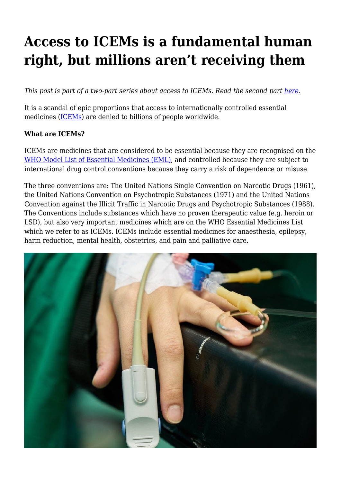## **Access to ICEMs is a fundamental human right, but millions aren't receiving them**

*This post is part of a two-part series about access to ICEMs. Read the second part [here.](https://haiweb.org/internationally-controlled-essential-medicines/)* 

It is a scandal of epic proportions that access to internationally controlled essential medicines ([ICEMs\)](https://haiweb.org/media-resource/breaking-down-barriers-to-accessing-internationally-controlled-essential-medicines-key-to-ending-pain-and-suffering-of-millions/) are denied to billions of people worldwide.

## **What are ICEMs?**

ICEMs are medicines that are considered to be essential because they are recognised on the [WHO Model List of Essential Medicines \(EML\)](https://www.who.int/medicines/areas/quality_safety/sub_Int_control/en/), and controlled because they are subject to international drug control conventions because they carry a risk of dependence or misuse.

The three conventions are: The United Nations Single Convention on Narcotic Drugs (1961), the United Nations Convention on Psychotropic Substances (1971) and the United Nations Convention against the Illicit Traffic in Narcotic Drugs and Psychotropic Substances (1988). The Conventions include substances which have no proven therapeutic value (e.g. heroin or LSD), but also very important medicines which are on the WHO Essential Medicines List which we refer to as ICEMs. ICEMs include essential medicines for anaesthesia, epilepsy, harm reduction, mental health, obstetrics, and pain and palliative care.

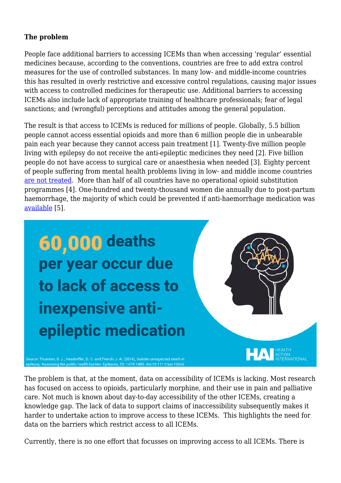## **The problem**

People face additional barriers to accessing ICEMs than when accessing 'regular' essential medicines because, according to the conventions, countries are free to add extra control measures for the use of controlled substances. In many low- and middle-income countries this has resulted in overly restrictive and excessive control regulations, causing major issues with access to controlled medicines for therapeutic use. Additional barriers to accessing ICEMs also include lack of appropriate training of healthcare professionals; fear of legal sanctions; and (wrongful) perceptions and attitudes among the general population.

The result is that access to ICEMs is reduced for millions of people. Globally, 5.5 billion people cannot access essential opioids and more than 6 million people die in unbearable pain each year because they cannot access pain treatment [1]. Twenty-five million people living with epilepsy do not receive the anti-epileptic medicines they need [2]. Five billion people do not have access to surgical care or anaesthesia when needed [3]. Eighty percent of people suffering from mental health problems living in low- and middle income countries [are not treated](https://www.who.int/news-room/fact-sheets/detail/mental-disorders). More than half of all countries have no operational opioid substitution programmes [4]. One-hundred and twenty-thousand women die annually due to post-partum haemorrhage, the majority of which could be prevented if anti-haemorrhage medication was [available](https://www.who.int/medicines/areas/quality_safety/sub_Int_control/en/) [5].

60,000 deaths per year occur due to lack of access to inexpensive antiepileptic medication



, ι<br>?ΝΑΤΙΟΝΑΙ..

Source: Thurman, D. J., Hesdorffer, D. C. and French, J. A. (2014), Sudden unexpected death in: Assessing the public health burden. Epilepsia, 55: 1479-1485. doi:10.1111/epi.1266

The problem is that, at the moment, data on accessibility of ICEMs is lacking. Most research has focused on access to opioids, particularly morphine, and their use in pain and palliative care. Not much is known about day-to-day accessibility of the other ICEMs, creating a knowledge gap. The lack of data to support claims of inaccessibility subsequently makes it harder to undertake action to improve access to these ICEMs. This highlights the need for data on the barriers which restrict access to all ICEMs.

Currently, there is no one effort that focusses on improving access to all ICEMs. There is